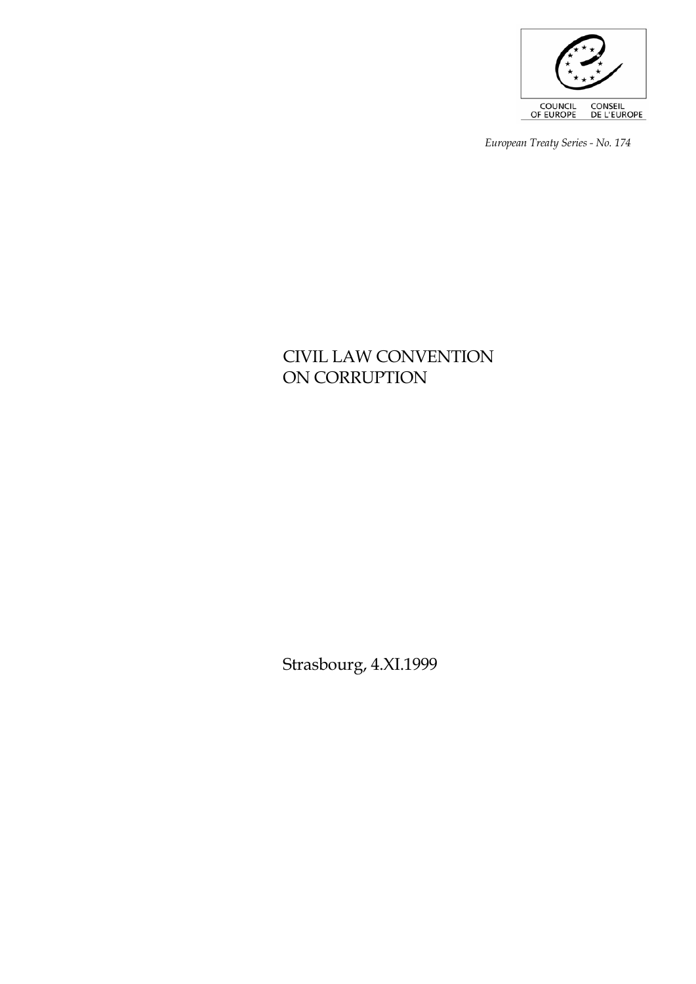

*European Treaty Series - No. 174* 

# CIVIL LAW CONVENTION ON CORRUPTION

Strasbourg, 4.XI.1999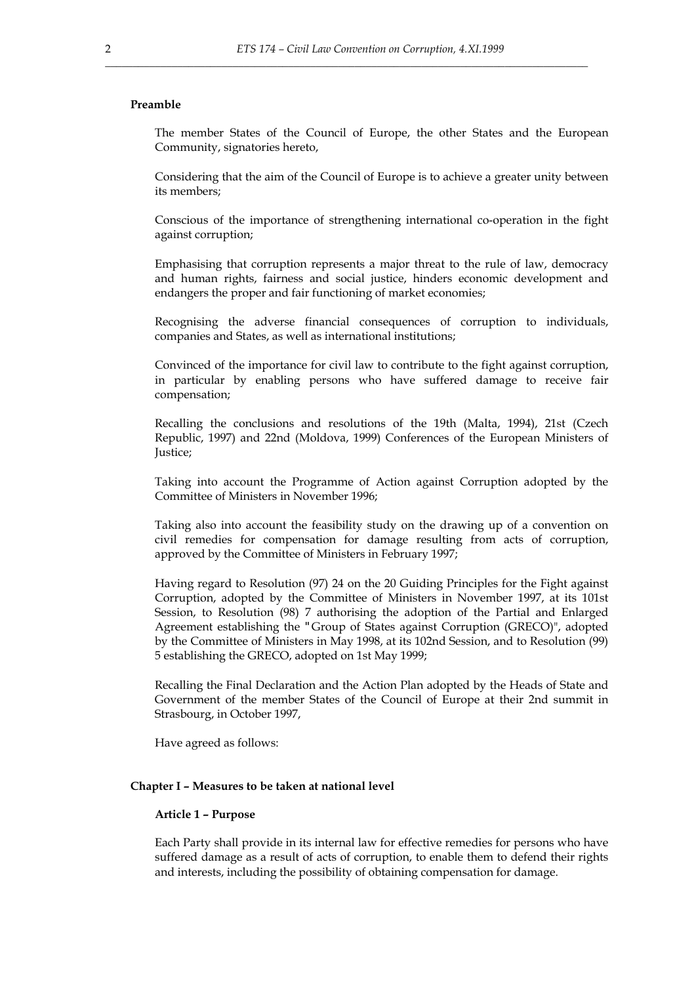## **Preamble**

 The member States of the Council of Europe, the other States and the European Community, signatories hereto,

 Considering that the aim of the Council of Europe is to achieve a greater unity between its members;

 Conscious of the importance of strengthening international co-operation in the fight against corruption;

 Emphasising that corruption represents a major threat to the rule of law, democracy and human rights, fairness and social justice, hinders economic development and endangers the proper and fair functioning of market economies;

 Recognising the adverse financial consequences of corruption to individuals, companies and States, as well as international institutions;

 Convinced of the importance for civil law to contribute to the fight against corruption, in particular by enabling persons who have suffered damage to receive fair compensation;

 Recalling the conclusions and resolutions of the 19th (Malta, 1994), 21st (Czech Republic, 1997) and 22nd (Moldova, 1999) Conferences of the European Ministers of Justice;

 Taking into account the Programme of Action against Corruption adopted by the Committee of Ministers in November 1996;

 Taking also into account the feasibility study on the drawing up of a convention on civil remedies for compensation for damage resulting from acts of corruption, approved by the Committee of Ministers in February 1997;

 Having regard to Resolution (97) 24 on the 20 Guiding Principles for the Fight against Corruption, adopted by the Committee of Ministers in November 1997, at its 101st Session, to Resolution (98) 7 authorising the adoption of the Partial and Enlarged Agreement establishing the "Group of States against Corruption (GRECO)", adopted by the Committee of Ministers in May 1998, at its 102nd Session, and to Resolution (99) 5 establishing the GRECO, adopted on 1st May 1999;

 Recalling the Final Declaration and the Action Plan adopted by the Heads of State and Government of the member States of the Council of Europe at their 2nd summit in Strasbourg, in October 1997,

Have agreed as follows:

## **Chapter I – Measures to be taken at national level**

#### **Article 1 – Purpose**

Each Party shall provide in its internal law for effective remedies for persons who have suffered damage as a result of acts of corruption, to enable them to defend their rights and interests, including the possibility of obtaining compensation for damage.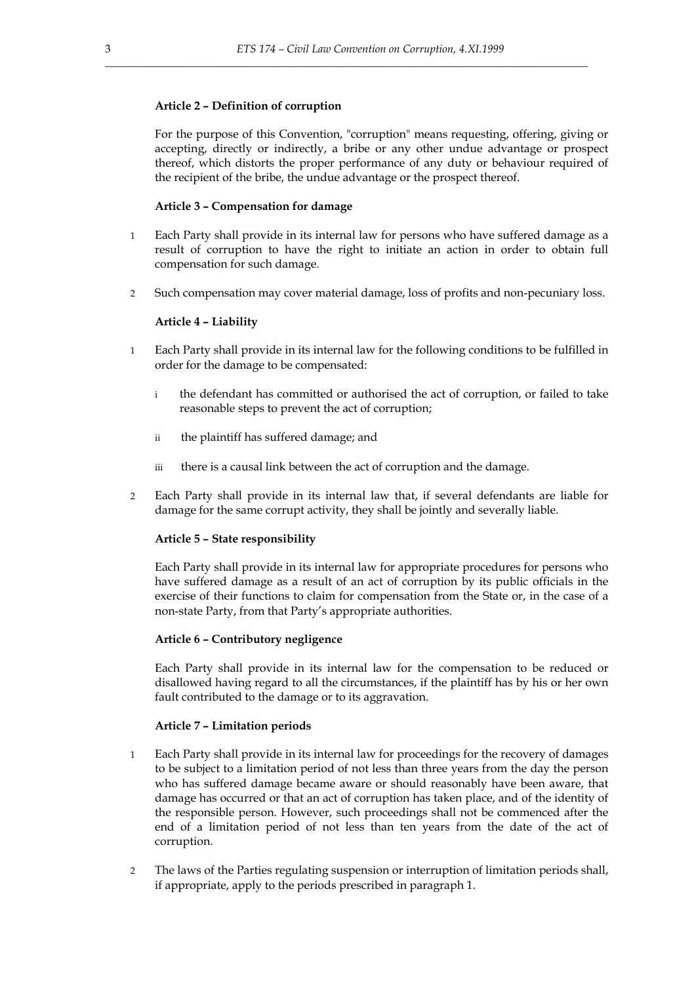# **Article 2 – Definition of corruption**

For the purpose of this Convention, "corruption" means requesting, offering, giving or accepting, directly or indirectly, a bribe or any other undue advantage or prospect thereof, which distorts the proper performance of any duty or behaviour required of the recipient of the bribe, the undue advantage or the prospect thereof.

## **Article 3 – Compensation for damage**

- 1 Each Party shall provide in its internal law for persons who have suffered damage as a result of corruption to have the right to initiate an action in order to obtain full compensation for such damage.
- 2 Such compensation may cover material damage, loss of profits and non-pecuniary loss.

## **Article 4 – Liability**

- 1 Each Party shall provide in its internal law for the following conditions to be fulfilled in order for the damage to be compensated:
	- i the defendant has committed or authorised the act of corruption, or failed to take reasonable steps to prevent the act of corruption;
	- ii the plaintiff has suffered damage; and
	- iii there is a causal link between the act of corruption and the damage.
- 2 Each Party shall provide in its internal law that, if several defendants are liable for damage for the same corrupt activity, they shall be jointly and severally liable.

## **Article 5 – State responsibility**

Each Party shall provide in its internal law for appropriate procedures for persons who have suffered damage as a result of an act of corruption by its public officials in the exercise of their functions to claim for compensation from the State or, in the case of a non-state Party, from that Party's appropriate authorities.

## **Article 6 – Contributory negligence**

Each Party shall provide in its internal law for the compensation to be reduced or disallowed having regard to all the circumstances, if the plaintiff has by his or her own fault contributed to the damage or to its aggravation.

## **Article 7 – Limitation periods**

- 1 Each Party shall provide in its internal law for proceedings for the recovery of damages to be subject to a limitation period of not less than three years from the day the person who has suffered damage became aware or should reasonably have been aware, that damage has occurred or that an act of corruption has taken place, and of the identity of the responsible person. However, such proceedings shall not be commenced after the end of a limitation period of not less than ten years from the date of the act of corruption.
- 2 The laws of the Parties regulating suspension or interruption of limitation periods shall, if appropriate, apply to the periods prescribed in paragraph 1.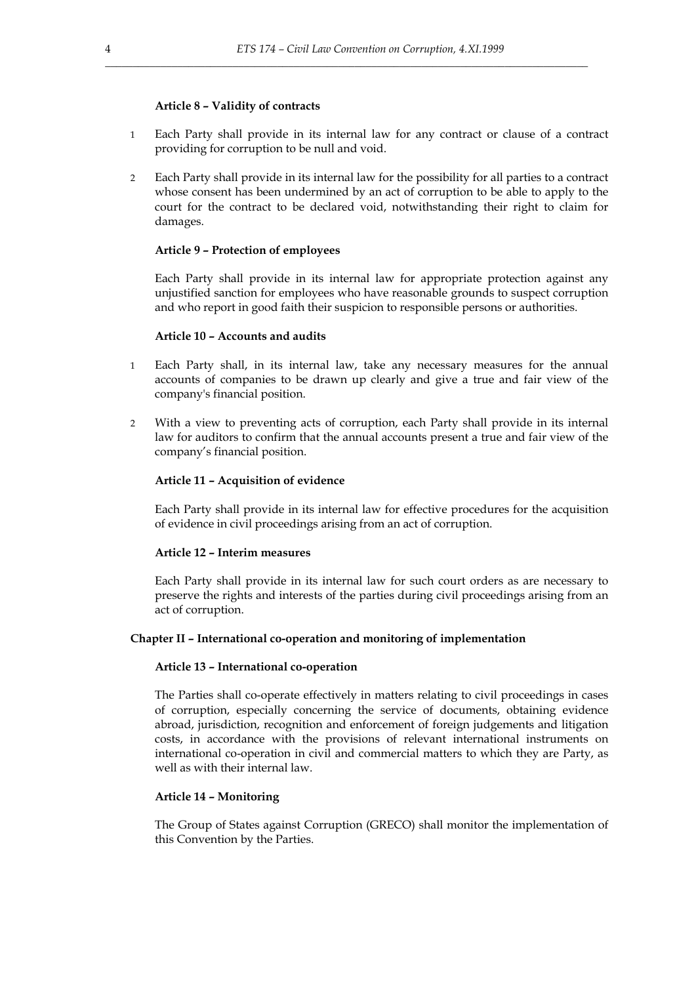# **Article 8 – Validity of contracts**

- 1 Each Party shall provide in its internal law for any contract or clause of a contract providing for corruption to be null and void.
- 2 Each Party shall provide in its internal law for the possibility for all parties to a contract whose consent has been undermined by an act of corruption to be able to apply to the court for the contract to be declared void, notwithstanding their right to claim for damages.

# **Article 9 – Protection of employees**

Each Party shall provide in its internal law for appropriate protection against any unjustified sanction for employees who have reasonable grounds to suspect corruption and who report in good faith their suspicion to responsible persons or authorities.

#### **Article 10 – Accounts and audits**

- 1 Each Party shall, in its internal law, take any necessary measures for the annual accounts of companies to be drawn up clearly and give a true and fair view of the company's financial position.
- 2 With a view to preventing acts of corruption, each Party shall provide in its internal law for auditors to confirm that the annual accounts present a true and fair view of the company's financial position.

#### **Article 11 – Acquisition of evidence**

Each Party shall provide in its internal law for effective procedures for the acquisition of evidence in civil proceedings arising from an act of corruption.

#### **Article 12 – Interim measures**

Each Party shall provide in its internal law for such court orders as are necessary to preserve the rights and interests of the parties during civil proceedings arising from an act of corruption.

# **Chapter II – International co-operation and monitoring of implementation**

## **Article 13 – International co-operation**

The Parties shall co-operate effectively in matters relating to civil proceedings in cases of corruption, especially concerning the service of documents, obtaining evidence abroad, jurisdiction, recognition and enforcement of foreign judgements and litigation costs, in accordance with the provisions of relevant international instruments on international co-operation in civil and commercial matters to which they are Party, as well as with their internal law.

## **Article 14 – Monitoring**

The Group of States against Corruption (GRECO) shall monitor the implementation of this Convention by the Parties.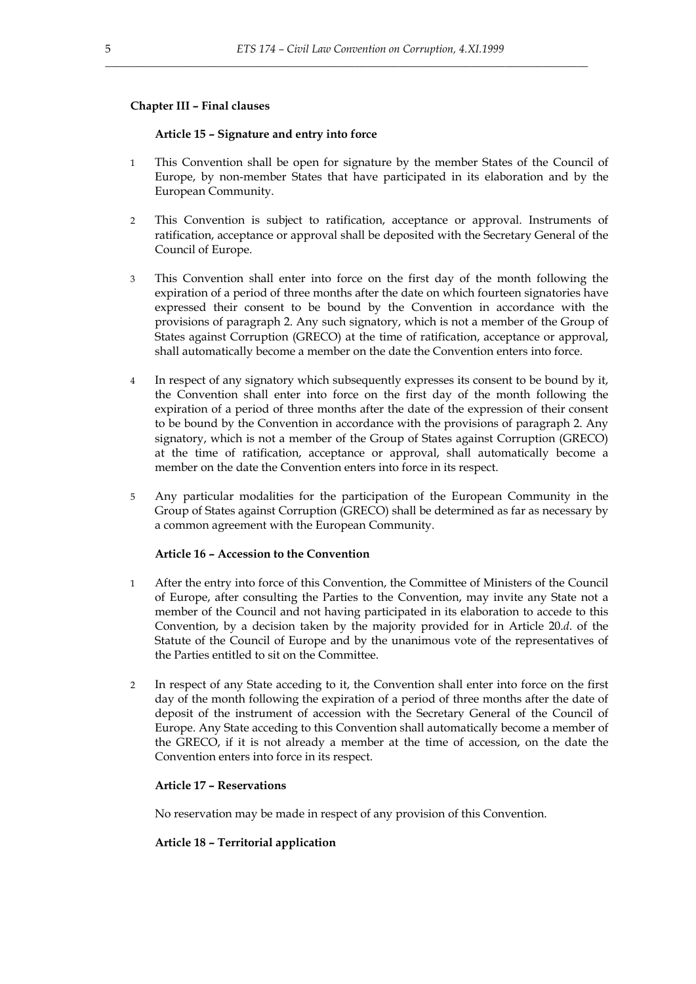# **Chapter III – Final clauses**

# **Article 15 – Signature and entry into force**

- 1 This Convention shall be open for signature by the member States of the Council of Europe, by non-member States that have participated in its elaboration and by the European Community.
- 2 This Convention is subject to ratification, acceptance or approval. Instruments of ratification, acceptance or approval shall be deposited with the Secretary General of the Council of Europe.
- 3 This Convention shall enter into force on the first day of the month following the expiration of a period of three months after the date on which fourteen signatories have expressed their consent to be bound by the Convention in accordance with the provisions of paragraph 2. Any such signatory, which is not a member of the Group of States against Corruption (GRECO) at the time of ratification, acceptance or approval, shall automatically become a member on the date the Convention enters into force.
- 4 In respect of any signatory which subsequently expresses its consent to be bound by it, the Convention shall enter into force on the first day of the month following the expiration of a period of three months after the date of the expression of their consent to be bound by the Convention in accordance with the provisions of paragraph 2. Any signatory, which is not a member of the Group of States against Corruption (GRECO) at the time of ratification, acceptance or approval, shall automatically become a member on the date the Convention enters into force in its respect.
- 5 Any particular modalities for the participation of the European Community in the Group of States against Corruption (GRECO) shall be determined as far as necessary by a common agreement with the European Community.

# **Article 16 – Accession to the Convention**

- 1 After the entry into force of this Convention, the Committee of Ministers of the Council of Europe, after consulting the Parties to the Convention, may invite any State not a member of the Council and not having participated in its elaboration to accede to this Convention, by a decision taken by the majority provided for in Article 20.*d*. of the Statute of the Council of Europe and by the unanimous vote of the representatives of the Parties entitled to sit on the Committee.
- 2 In respect of any State acceding to it, the Convention shall enter into force on the first day of the month following the expiration of a period of three months after the date of deposit of the instrument of accession with the Secretary General of the Council of Europe. Any State acceding to this Convention shall automatically become a member of the GRECO, if it is not already a member at the time of accession, on the date the Convention enters into force in its respect.

# **Article 17 – Reservations**

No reservation may be made in respect of any provision of this Convention.

# **Article 18 – Territorial application**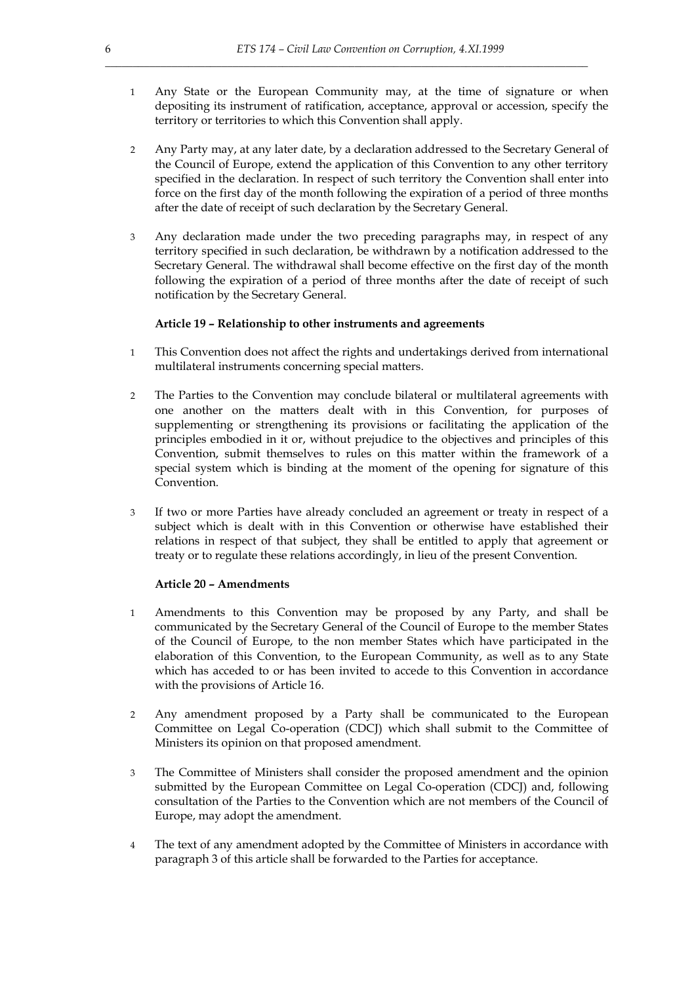- 1 Any State or the European Community may, at the time of signature or when depositing its instrument of ratification, acceptance, approval or accession, specify the territory or territories to which this Convention shall apply.
- 2 Any Party may, at any later date, by a declaration addressed to the Secretary General of the Council of Europe, extend the application of this Convention to any other territory specified in the declaration. In respect of such territory the Convention shall enter into force on the first day of the month following the expiration of a period of three months after the date of receipt of such declaration by the Secretary General.
- 3 Any declaration made under the two preceding paragraphs may, in respect of any territory specified in such declaration, be withdrawn by a notification addressed to the Secretary General. The withdrawal shall become effective on the first day of the month following the expiration of a period of three months after the date of receipt of such notification by the Secretary General.

## **Article 19 – Relationship to other instruments and agreements**

- 1 This Convention does not affect the rights and undertakings derived from international multilateral instruments concerning special matters.
- 2 The Parties to the Convention may conclude bilateral or multilateral agreements with one another on the matters dealt with in this Convention, for purposes of supplementing or strengthening its provisions or facilitating the application of the principles embodied in it or, without prejudice to the objectives and principles of this Convention, submit themselves to rules on this matter within the framework of a special system which is binding at the moment of the opening for signature of this Convention.
- 3 If two or more Parties have already concluded an agreement or treaty in respect of a subject which is dealt with in this Convention or otherwise have established their relations in respect of that subject, they shall be entitled to apply that agreement or treaty or to regulate these relations accordingly, in lieu of the present Convention.

## **Article 20 – Amendments**

- 1 Amendments to this Convention may be proposed by any Party, and shall be communicated by the Secretary General of the Council of Europe to the member States of the Council of Europe, to the non member States which have participated in the elaboration of this Convention, to the European Community, as well as to any State which has acceded to or has been invited to accede to this Convention in accordance with the provisions of Article 16.
- 2 Any amendment proposed by a Party shall be communicated to the European Committee on Legal Co-operation (CDCJ) which shall submit to the Committee of Ministers its opinion on that proposed amendment.
- 3 The Committee of Ministers shall consider the proposed amendment and the opinion submitted by the European Committee on Legal Co-operation (CDCJ) and, following consultation of the Parties to the Convention which are not members of the Council of Europe, may adopt the amendment.
- 4 The text of any amendment adopted by the Committee of Ministers in accordance with paragraph 3 of this article shall be forwarded to the Parties for acceptance.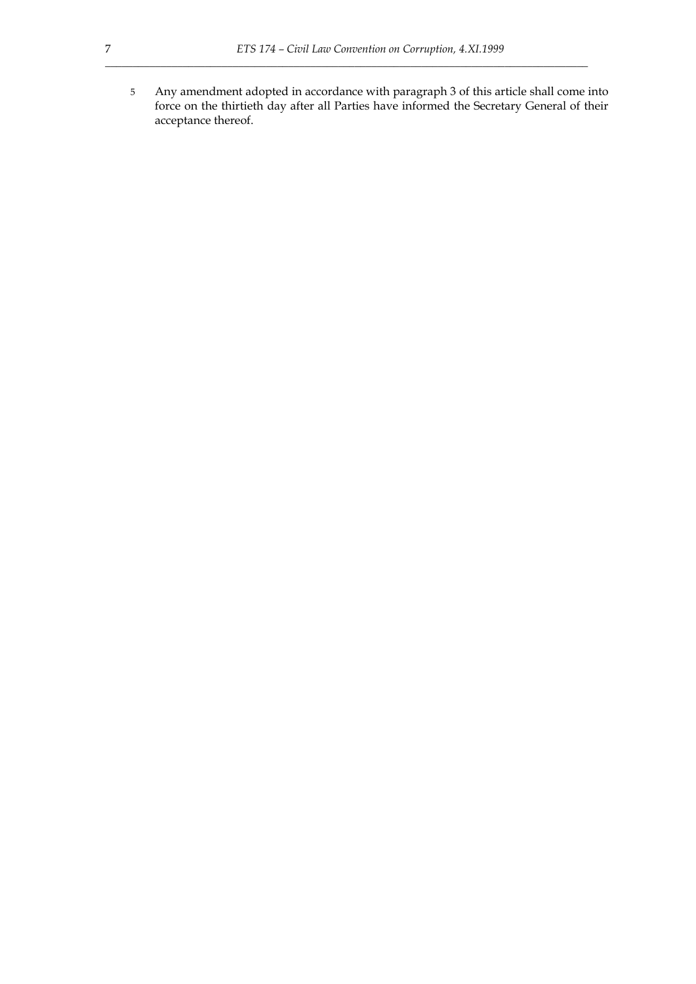5 Any amendment adopted in accordance with paragraph 3 of this article shall come into force on the thirtieth day after all Parties have informed the Secretary General of their acceptance thereof.